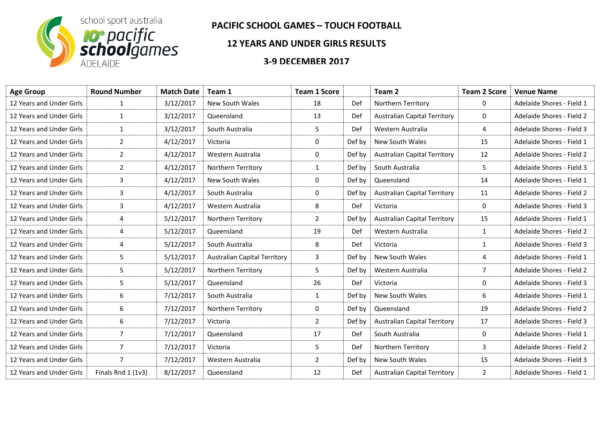

## **PACIFIC SCHOOL GAMES – TOUCH FOOTBALL**

## **12 YEARS AND UNDER GIRLS RESULTS**

## **3-9 DECEMBER 2017**

| <b>Age Group</b>         | <b>Round Number</b> | <b>Match Date</b> | Team 1                              | <b>Team 1 Score</b> |        | Team 2                              | <b>Team 2 Score</b> | <b>Venue Name</b>         |
|--------------------------|---------------------|-------------------|-------------------------------------|---------------------|--------|-------------------------------------|---------------------|---------------------------|
| 12 Years and Under Girls | 1                   | 3/12/2017         | New South Wales                     | 18                  | Def    | Northern Territory                  | 0                   | Adelaide Shores - Field 1 |
| 12 Years and Under Girls | 1                   | 3/12/2017         | Queensland                          | 13                  | Def    | <b>Australian Capital Territory</b> | 0                   | Adelaide Shores - Field 2 |
| 12 Years and Under Girls | $\mathbf{1}$        | 3/12/2017         | South Australia                     | 5                   | Def    | Western Australia                   | 4                   | Adelaide Shores - Field 3 |
| 12 Years and Under Girls | 2                   | 4/12/2017         | Victoria                            | 0                   | Def by | New South Wales                     | 15                  | Adelaide Shores - Field 1 |
| 12 Years and Under Girls | $\overline{2}$      | 4/12/2017         | Western Australia                   | 0                   | Def by | <b>Australian Capital Territory</b> | 12                  | Adelaide Shores - Field 2 |
| 12 Years and Under Girls | $\overline{2}$      | 4/12/2017         | Northern Territory                  | $\mathbf{1}$        | Def by | South Australia                     | 5                   | Adelaide Shores - Field 3 |
| 12 Years and Under Girls | 3                   | 4/12/2017         | New South Wales                     | 0                   | Def by | Queensland                          | 14                  | Adelaide Shores - Field 1 |
| 12 Years and Under Girls | 3                   | 4/12/2017         | South Australia                     | 0                   | Def by | <b>Australian Capital Territory</b> | 11                  | Adelaide Shores - Field 2 |
| 12 Years and Under Girls | 3                   | 4/12/2017         | Western Australia                   | 8                   | Def    | Victoria                            | 0                   | Adelaide Shores - Field 3 |
| 12 Years and Under Girls | 4                   | 5/12/2017         | Northern Territory                  | $\overline{2}$      | Def by | <b>Australian Capital Territory</b> | 15                  | Adelaide Shores - Field 1 |
| 12 Years and Under Girls | 4                   | 5/12/2017         | Queensland                          | 19                  | Def    | Western Australia                   | 1                   | Adelaide Shores - Field 2 |
| 12 Years and Under Girls | 4                   | 5/12/2017         | South Australia                     | 8                   | Def    | Victoria                            | $\mathbf{1}$        | Adelaide Shores - Field 3 |
| 12 Years and Under Girls | 5                   | 5/12/2017         | <b>Australian Capital Territory</b> | 3                   | Def by | New South Wales                     | 4                   | Adelaide Shores - Field 1 |
| 12 Years and Under Girls | 5                   | 5/12/2017         | Northern Territory                  | 5                   | Def by | Western Australia                   | $\overline{7}$      | Adelaide Shores - Field 2 |
| 12 Years and Under Girls | 5                   | 5/12/2017         | Queensland                          | 26                  | Def    | Victoria                            | 0                   | Adelaide Shores - Field 3 |
| 12 Years and Under Girls | 6                   | 7/12/2017         | South Australia                     | $\mathbf{1}$        | Def by | New South Wales                     | 6                   | Adelaide Shores - Field 1 |
| 12 Years and Under Girls | 6                   | 7/12/2017         | Northern Territory                  | 0                   | Def by | Queensland                          | 19                  | Adelaide Shores - Field 2 |
| 12 Years and Under Girls | 6                   | 7/12/2017         | Victoria                            | $\overline{2}$      | Def by | <b>Australian Capital Territory</b> | 17                  | Adelaide Shores - Field 3 |
| 12 Years and Under Girls | 7                   | 7/12/2017         | Queensland                          | 17                  | Def    | South Australia                     | 0                   | Adelaide Shores - Field 1 |
| 12 Years and Under Girls | $\overline{7}$      | 7/12/2017         | Victoria                            | 5                   | Def    | Northern Territory                  | 3                   | Adelaide Shores - Field 2 |
| 12 Years and Under Girls | 7                   | 7/12/2017         | Western Australia                   | $\overline{2}$      | Def by | New South Wales                     | 15                  | Adelaide Shores - Field 3 |
| 12 Years and Under Girls | Finals Rnd 1 (1v3)  | 8/12/2017         | Queensland                          | 12                  | Def    | <b>Australian Capital Territory</b> | 2                   | Adelaide Shores - Field 1 |